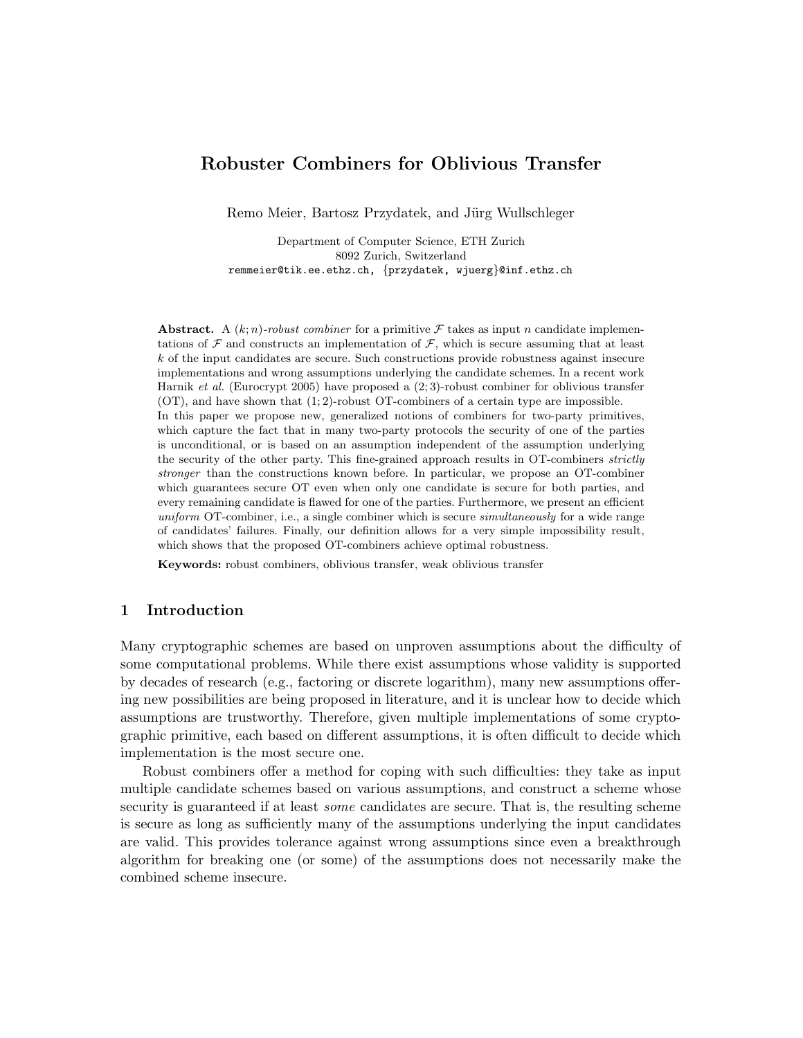# Robuster Combiners for Oblivious Transfer

Remo Meier, Bartosz Przydatek, and Jürg Wullschleger

Department of Computer Science, ETH Zurich 8092 Zurich, Switzerland remmeier@tik.ee.ethz.ch, {przydatek, wjuerg}@inf.ethz.ch

Abstract. A  $(k; n)$ -robust combiner for a primitive  $\mathcal F$  takes as input n candidate implementations of  $\mathcal F$  and constructs an implementation of  $\mathcal F$ , which is secure assuming that at least  $k$  of the input candidates are secure. Such constructions provide robustness against insecure implementations and wrong assumptions underlying the candidate schemes. In a recent work Harnik et al. (Eurocrypt 2005) have proposed a (2; 3)-robust combiner for oblivious transfer  $(OT)$ , and have shown that  $(1, 2)$ -robust OT-combiners of a certain type are impossible. In this paper we propose new, generalized notions of combiners for two-party primitives, which capture the fact that in many two-party protocols the security of one of the parties is unconditional, or is based on an assumption independent of the assumption underlying the security of the other party. This fine-grained approach results in OT-combiners *strictly* stronger than the constructions known before. In particular, we propose an OT-combiner which guarantees secure OT even when only one candidate is secure for both parties, and every remaining candidate is flawed for one of the parties. Furthermore, we present an efficient uniform OT-combiner, i.e., a single combiner which is secure *simultaneously* for a wide range of candidates' failures. Finally, our definition allows for a very simple impossibility result, which shows that the proposed OT-combiners achieve optimal robustness.

Keywords: robust combiners, oblivious transfer, weak oblivious transfer

### 1 Introduction

Many cryptographic schemes are based on unproven assumptions about the difficulty of some computational problems. While there exist assumptions whose validity is supported by decades of research (e.g., factoring or discrete logarithm), many new assumptions offering new possibilities are being proposed in literature, and it is unclear how to decide which assumptions are trustworthy. Therefore, given multiple implementations of some cryptographic primitive, each based on different assumptions, it is often difficult to decide which implementation is the most secure one.

Robust combiners offer a method for coping with such difficulties: they take as input multiple candidate schemes based on various assumptions, and construct a scheme whose security is guaranteed if at least *some* candidates are secure. That is, the resulting scheme is secure as long as sufficiently many of the assumptions underlying the input candidates are valid. This provides tolerance against wrong assumptions since even a breakthrough algorithm for breaking one (or some) of the assumptions does not necessarily make the combined scheme insecure.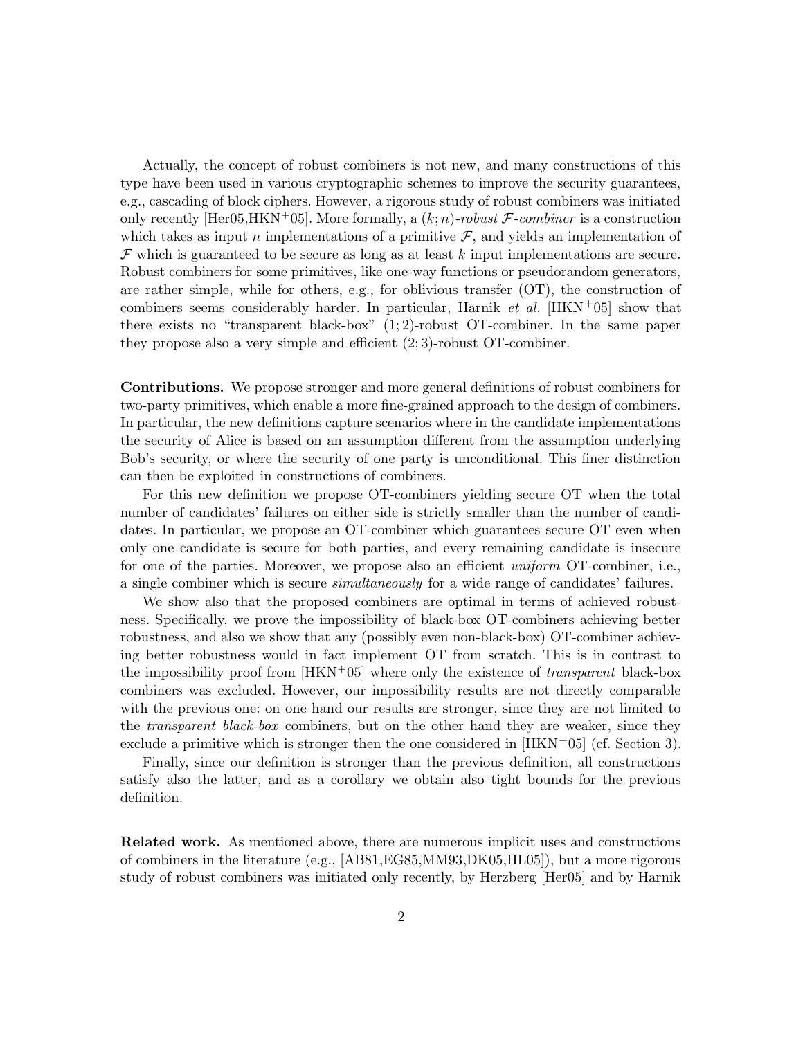Actually, the concept of robust combiners is not new, and many constructions of this type have been used in various cryptographic schemes to improve the security guarantees, e.g., cascading of block ciphers. However, a rigorous study of robust combiners was initiated only recently [Her05,HKN+05]. More formally, a  $(k;n)$ -robust  $\mathcal{F}$ -combiner is a construction which takes as input n implementations of a primitive  $\mathcal F$ , and yields an implementation of  $\mathcal F$  which is guaranteed to be secure as long as at least k input implementations are secure. Robust combiners for some primitives, like one-way functions or pseudorandom generators, are rather simple, while for others, e.g., for oblivious transfer  $(OT)$ , the construction of combiners seems considerably harder. In particular, Harnik *et al.*  $|HKN+05|$  show that there exists no "transparent black-box" (1; 2)-robust OT-combiner. In the same paper they propose also a very simple and efficient (2; 3)-robust OT-combiner.

Contributions. We propose stronger and more general definitions of robust combiners for two-party primitives, which enable a more fine-grained approach to the design of combiners. In particular, the new definitions capture scenarios where in the candidate implementations the security of Alice is based on an assumption different from the assumption underlying Bob's security, or where the security of one party is unconditional. This finer distinction can then be exploited in constructions of combiners.

For this new definition we propose OT-combiners yielding secure OT when the total number of candidates' failures on either side is strictly smaller than the number of candidates. In particular, we propose an OT-combiner which guarantees secure OT even when only one candidate is secure for both parties, and every remaining candidate is insecure for one of the parties. Moreover, we propose also an efficient *uniform* OT-combiner, i.e., a single combiner which is secure simultaneously for a wide range of candidates' failures.

We show also that the proposed combiners are optimal in terms of achieved robustness. Specifically, we prove the impossibility of black-box OT-combiners achieving better robustness, and also we show that any (possibly even non-black-box) OT-combiner achieving better robustness would in fact implement OT from scratch. This is in contrast to the impossibility proof from  $[HKN+05]$  where only the existence of *transparent* black-box combiners was excluded. However, our impossibility results are not directly comparable with the previous one: on one hand our results are stronger, since they are not limited to the *transparent black-box* combiners, but on the other hand they are weaker, since they exclude a primitive which is stronger then the one considered in  $[HKN<sup>+</sup>05]$  (cf. Section 3).

Finally, since our definition is stronger than the previous definition, all constructions satisfy also the latter, and as a corollary we obtain also tight bounds for the previous definition.

Related work. As mentioned above, there are numerous implicit uses and constructions of combiners in the literature (e.g., [AB81,EG85,MM93,DK05,HL05]), but a more rigorous study of robust combiners was initiated only recently, by Herzberg [Her05] and by Harnik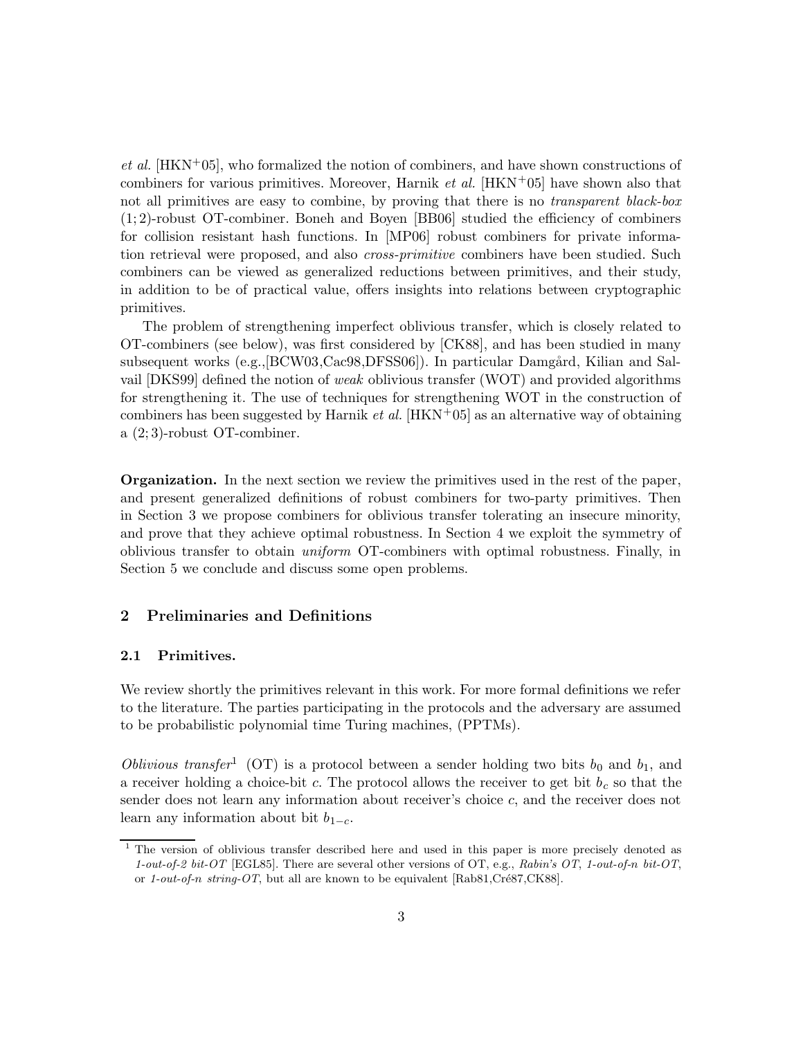$et \ al.$  [HKN<sup>+</sup>05], who formalized the notion of combiners, and have shown constructions of combiners for various primitives. Moreover, Harnik *et al.* [HKN+05] have shown also that not all primitives are easy to combine, by proving that there is no transparent black-box  $(1; 2)$ -robust OT-combiner. Boneh and Boyen [BB06] studied the efficiency of combiners for collision resistant hash functions. In [MP06] robust combiners for private information retrieval were proposed, and also *cross-primitive* combiners have been studied. Such combiners can be viewed as generalized reductions between primitives, and their study, in addition to be of practical value, offers insights into relations between cryptographic primitives.

The problem of strengthening imperfect oblivious transfer, which is closely related to OT-combiners (see below), was first considered by [CK88], and has been studied in many subsequent works (e.g., [BCW03, Cac98, DFSS06]). In particular Damgård, Kilian and Salvail [DKS99] defined the notion of weak oblivious transfer (WOT) and provided algorithms for strengthening it. The use of techniques for strengthening WOT in the construction of combiners has been suggested by Harnik *et al.* [HKN<sup>+</sup>05] as an alternative way of obtaining a (2; 3)-robust OT-combiner.

Organization. In the next section we review the primitives used in the rest of the paper, and present generalized definitions of robust combiners for two-party primitives. Then in Section 3 we propose combiners for oblivious transfer tolerating an insecure minority, and prove that they achieve optimal robustness. In Section 4 we exploit the symmetry of oblivious transfer to obtain uniform OT-combiners with optimal robustness. Finally, in Section 5 we conclude and discuss some open problems.

# 2 Preliminaries and Definitions

#### 2.1 Primitives.

We review shortly the primitives relevant in this work. For more formal definitions we refer to the literature. The parties participating in the protocols and the adversary are assumed to be probabilistic polynomial time Turing machines, (PPTMs).

Oblivious transfer<sup>1</sup> (OT) is a protocol between a sender holding two bits  $b_0$  and  $b_1$ , and a receiver holding a choice-bit c. The protocol allows the receiver to get bit  $b<sub>c</sub>$  so that the sender does not learn any information about receiver's choice  $c$ , and the receiver does not learn any information about bit  $b_{1-c}$ .

<sup>1</sup> The version of oblivious transfer described here and used in this paper is more precisely denoted as 1-out-of-2 bit-OT [EGL85]. There are several other versions of OT, e.g., Rabin's OT, 1-out-of-n bit-OT, or 1-out-of-n string-OT, but all are known to be equivalent [Rab81,Cré87,CK88].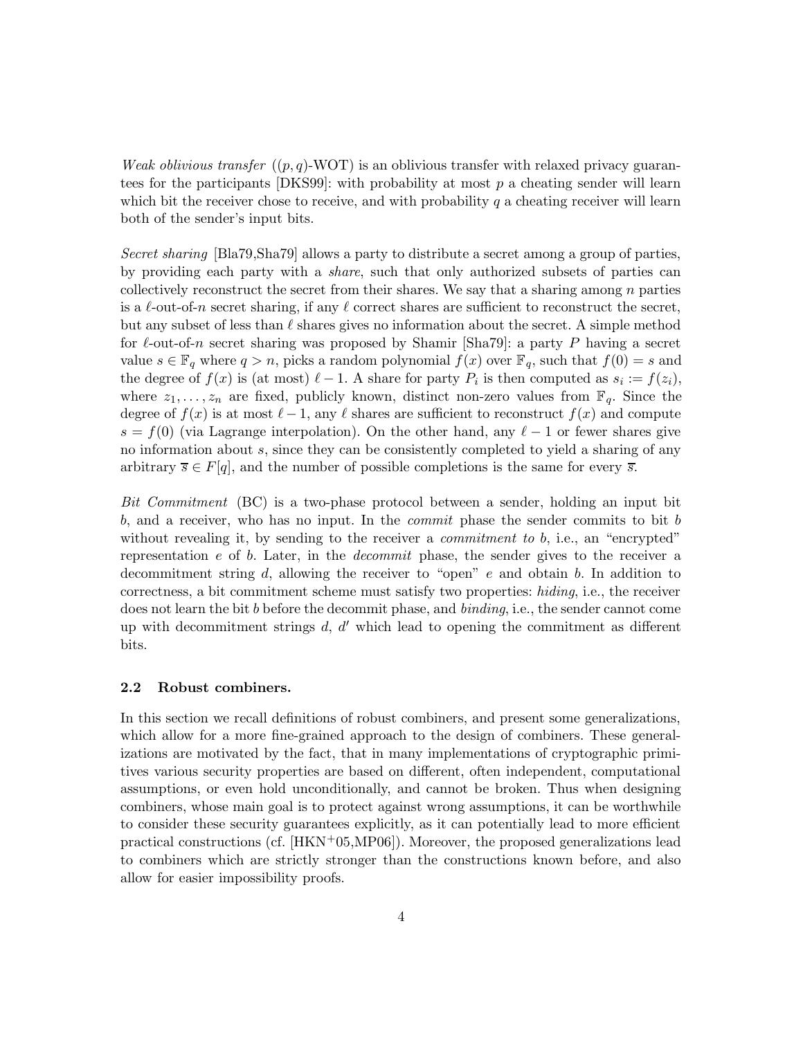Weak oblivious transfer  $((p, q)-WOT)$  is an oblivious transfer with relaxed privacy guarantees for the participants [DKS99]: with probability at most  $p$  a cheating sender will learn which bit the receiver chose to receive, and with probability  $q$  a cheating receiver will learn both of the sender's input bits.

Secret sharing [Bla79,Sha79] allows a party to distribute a secret among a group of parties, by providing each party with a share, such that only authorized subsets of parties can collectively reconstruct the secret from their shares. We say that a sharing among  $n$  parties is a  $\ell$ -out-of-n secret sharing, if any  $\ell$  correct shares are sufficient to reconstruct the secret, but any subset of less than  $\ell$  shares gives no information about the secret. A simple method for  $\ell$ -out-of-n secret sharing was proposed by Shamir [Sha79]: a party P having a secret value  $s \in \mathbb{F}_q$  where  $q > n$ , picks a random polynomial  $f(x)$  over  $\mathbb{F}_q$ , such that  $f(0) = s$  and the degree of  $f(x)$  is (at most)  $\ell - 1$ . A share for party  $P_i$  is then computed as  $s_i := f(z_i)$ , where  $z_1, \ldots, z_n$  are fixed, publicly known, distinct non-zero values from  $\mathbb{F}_q$ . Since the degree of  $f(x)$  is at most  $\ell - 1$ , any  $\ell$  shares are sufficient to reconstruct  $f(x)$  and compute  $s = f(0)$  (via Lagrange interpolation). On the other hand, any  $\ell - 1$  or fewer shares give no information about s, since they can be consistently completed to yield a sharing of any arbitrary  $\overline{s} \in F[q]$ , and the number of possible completions is the same for every  $\overline{s}$ .

Bit Commitment (BC) is a two-phase protocol between a sender, holding an input bit b, and a receiver, who has no input. In the *commit* phase the sender commits to bit b without revealing it, by sending to the receiver a *commitment to b*, i.e., an "encrypted" representation  $e$  of  $b$ . Later, in the *decommit* phase, the sender gives to the receiver a decommitment string  $d$ , allowing the receiver to "open" e and obtain  $b$ . In addition to correctness, a bit commitment scheme must satisfy two properties: hiding, i.e., the receiver does not learn the bit b before the decommit phase, and binding, i.e., the sender cannot come up with decommitment strings  $d, d'$  which lead to opening the commitment as different bits.

### 2.2 Robust combiners.

In this section we recall definitions of robust combiners, and present some generalizations, which allow for a more fine-grained approach to the design of combiners. These generalizations are motivated by the fact, that in many implementations of cryptographic primitives various security properties are based on different, often independent, computational assumptions, or even hold unconditionally, and cannot be broken. Thus when designing combiners, whose main goal is to protect against wrong assumptions, it can be worthwhile to consider these security guarantees explicitly, as it can potentially lead to more efficient practical constructions (cf.  $[HKN+05, MP06]$ ). Moreover, the proposed generalizations lead to combiners which are strictly stronger than the constructions known before, and also allow for easier impossibility proofs.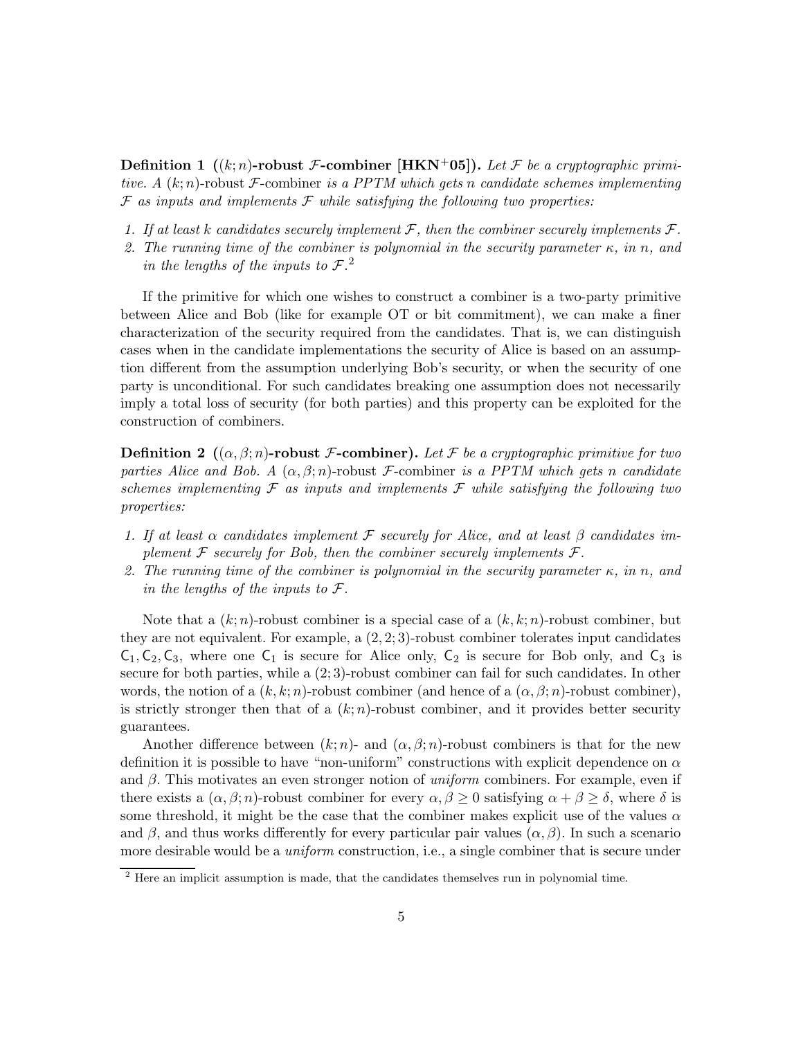**Definition 1** ((k; n)-robust F-combiner [HKN<sup>+</sup>05]). Let F be a cryptographic primitive. A  $(k; n)$ -robust F-combiner is a PPTM which gets n candidate schemes implementing  $\mathcal F$  as inputs and implements  $\mathcal F$  while satisfying the following two properties:

- 1. If at least k candidates securely implement  $\mathcal{F}$ , then the combiner securely implements  $\mathcal{F}$ .
- 2. The running time of the combiner is polynomial in the security parameter  $\kappa$ , in n, and in the lengths of the inputs to  $\mathcal{F}.^2$

If the primitive for which one wishes to construct a combiner is a two-party primitive between Alice and Bob (like for example OT or bit commitment), we can make a finer characterization of the security required from the candidates. That is, we can distinguish cases when in the candidate implementations the security of Alice is based on an assumption different from the assumption underlying Bob's security, or when the security of one party is unconditional. For such candidates breaking one assumption does not necessarily imply a total loss of security (for both parties) and this property can be exploited for the construction of combiners.

**Definition 2**  $((\alpha, \beta; n)$ -robust *F*-combiner). Let *F* be a cryptographic primitive for two parties Alice and Bob. A  $(\alpha, \beta; n)$ -robust F-combiner is a PPTM which gets n candidate schemes implementing  $\mathcal F$  as inputs and implements  $\mathcal F$  while satisfying the following two properties:

- 1. If at least  $\alpha$  candidates implement  $\mathcal F$  securely for Alice, and at least  $\beta$  candidates implement  $\mathcal F$  securely for Bob, then the combiner securely implements  $\mathcal F$ .
- 2. The running time of the combiner is polynomial in the security parameter  $\kappa$ , in n, and in the lengths of the inputs to  $\mathcal{F}.$

Note that a  $(k; n)$ -robust combiner is a special case of a  $(k, k; n)$ -robust combiner, but they are not equivalent. For example, a  $(2, 2; 3)$ -robust combiner tolerates input candidates  $C_1, C_2, C_3$ , where one  $C_1$  is secure for Alice only,  $C_2$  is secure for Bob only, and  $C_3$  is secure for both parties, while a (2; 3)-robust combiner can fail for such candidates. In other words, the notion of a  $(k, k; n)$ -robust combiner (and hence of a  $(\alpha, \beta; n)$ -robust combiner), is strictly stronger then that of a  $(k; n)$ -robust combiner, and it provides better security guarantees.

Another difference between  $(k; n)$ - and  $(\alpha, \beta; n)$ -robust combiners is that for the new definition it is possible to have "non-uniform" constructions with explicit dependence on  $\alpha$ and  $\beta$ . This motivates an even stronger notion of *uniform* combiners. For example, even if there exists a  $(\alpha, \beta; n)$ -robust combiner for every  $\alpha, \beta \geq 0$  satisfying  $\alpha + \beta \geq \delta$ , where  $\delta$  is some threshold, it might be the case that the combiner makes explicit use of the values  $\alpha$ and  $\beta$ , and thus works differently for every particular pair values  $(\alpha, \beta)$ . In such a scenario more desirable would be a *uniform* construction, i.e., a single combiner that is secure under

<sup>&</sup>lt;sup>2</sup> Here an implicit assumption is made, that the candidates themselves run in polynomial time.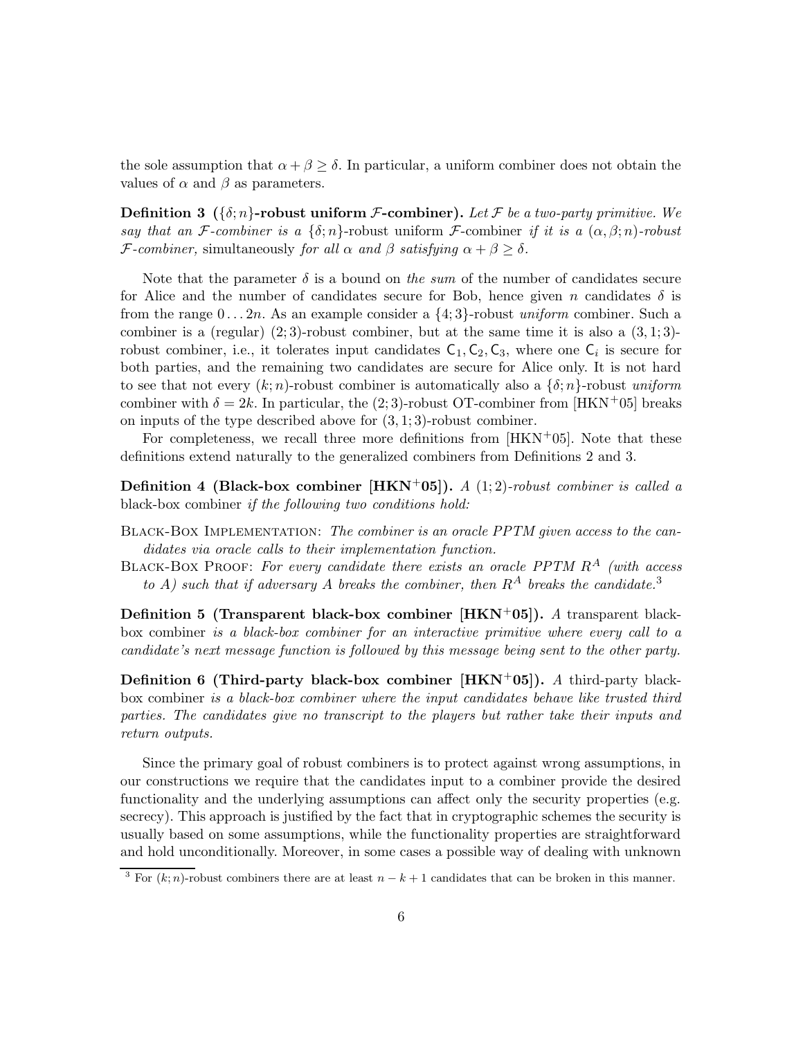the sole assumption that  $\alpha + \beta \geq \delta$ . In particular, a uniform combiner does not obtain the values of  $\alpha$  and  $\beta$  as parameters.

**Definition 3** ({ $\delta$ ; *n*}-robust uniform *F*-combiner). Let *F* be a two-party primitive. We say that an F-combiner is a  $\{\delta; n\}$ -robust uniform F-combiner if it is a  $(\alpha, \beta; n)$ -robust *F*-combiner, simultaneously for all  $\alpha$  and  $\beta$  satisfying  $\alpha + \beta \geq \delta$ .

Note that the parameter  $\delta$  is a bound on the sum of the number of candidates secure for Alice and the number of candidates secure for Bob, hence given n candidates  $\delta$  is from the range  $0 \ldots 2n$ . As an example consider a  $\{4,3\}$ -robust uniform combiner. Such a combiner is a (regular)  $(2, 3)$ -robust combiner, but at the same time it is also a  $(3, 1, 3)$ robust combiner, i.e., it tolerates input candidates  $C_1, C_2, C_3$ , where one  $C_i$  is secure for both parties, and the remaining two candidates are secure for Alice only. It is not hard to see that not every  $(k; n)$ -robust combiner is automatically also a  $\{\delta; n\}$ -robust uniform combiner with  $\delta = 2k$ . In particular, the (2,3)-robust OT-combiner from [HKN+05] breaks on inputs of the type described above for  $(3, 1; 3)$ -robust combiner.

For completeness, we recall three more definitions from  $[HKN+05]$ . Note that these definitions extend naturally to the generalized combiners from Definitions 2 and 3.

**Definition 4 (Black-box combiner [HKN<sup>+</sup>05]).** A (1;2)-robust combiner is called a black-box combiner if the following two conditions hold:

- Black-Box Implementation: The combiner is an oracle PPTM given access to the candidates via oracle calls to their implementation function.
- BLACK-BOX PROOF: For every candidate there exists an oracle PPTM  $R^A$  (with access to A) such that if adversary A breaks the combiner, then  $R^A$  breaks the candidate.<sup>3</sup>

**Definition 5 (Transparent black-box combiner [HKN+05]).** A transparent blackbox combiner is a black-box combiner for an interactive primitive where every call to a candidate's next message function is followed by this message being sent to the other party.

Definition 6 (Third-party black-box combiner  $[HKN<sup>+</sup>05]$ ). A third-party blackbox combiner is a black-box combiner where the input candidates behave like trusted third parties. The candidates give no transcript to the players but rather take their inputs and return outputs.

Since the primary goal of robust combiners is to protect against wrong assumptions, in our constructions we require that the candidates input to a combiner provide the desired functionality and the underlying assumptions can affect only the security properties (e.g. secrecy). This approach is justified by the fact that in cryptographic schemes the security is usually based on some assumptions, while the functionality properties are straightforward and hold unconditionally. Moreover, in some cases a possible way of dealing with unknown

<sup>&</sup>lt;sup>3</sup> For  $(k; n)$ -robust combiners there are at least  $n - k + 1$  candidates that can be broken in this manner.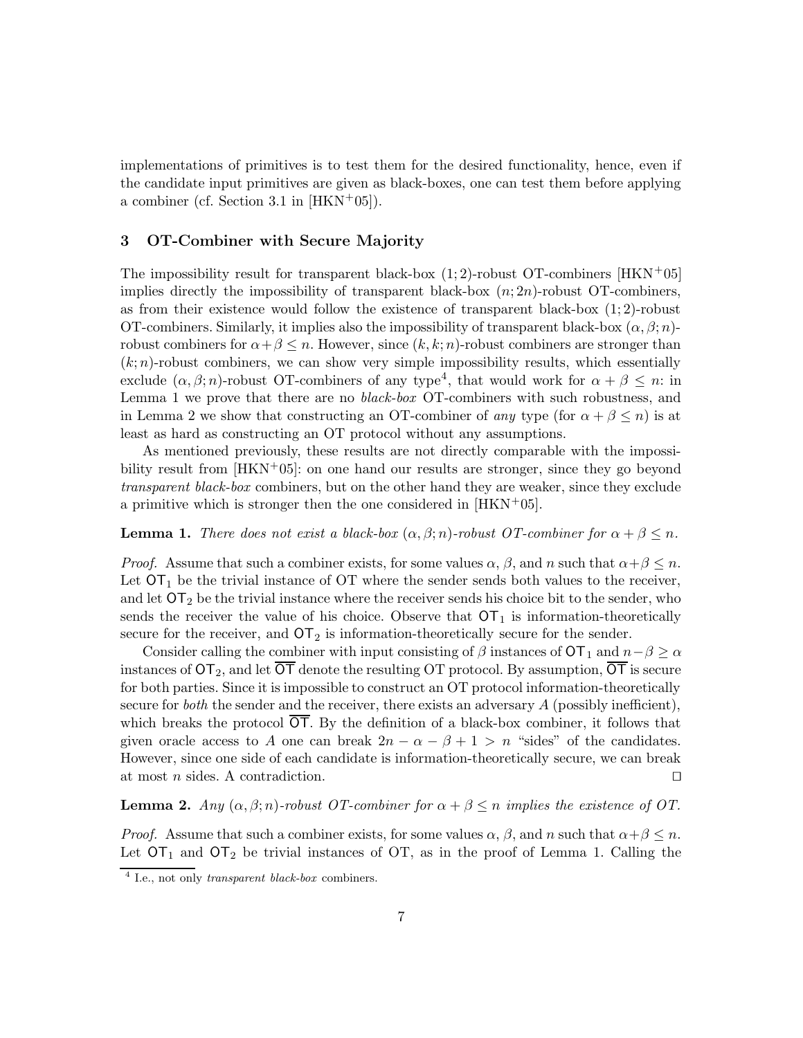implementations of primitives is to test them for the desired functionality, hence, even if the candidate input primitives are given as black-boxes, one can test them before applying a combiner (cf. Section 3.1 in  $[HKN^+05]$ ).

# 3 OT-Combiner with Secure Majority

The impossibility result for transparent black-box  $(1; 2)$ -robust OT-combiners [HKN+05] implies directly the impossibility of transparent black-box  $(n; 2n)$ -robust OT-combiners, as from their existence would follow the existence of transparent black-box  $(1, 2)$ -robust OT-combiners. Similarly, it implies also the impossibility of transparent black-box  $(\alpha, \beta; n)$ robust combiners for  $\alpha + \beta \leq n$ . However, since  $(k, k; n)$ -robust combiners are stronger than  $(k; n)$ -robust combiners, we can show very simple impossibility results, which essentially exclude  $(\alpha, \beta; n)$ -robust OT-combiners of any type<sup>4</sup>, that would work for  $\alpha + \beta \leq n$ : in Lemma 1 we prove that there are no black-box OT-combiners with such robustness, and in Lemma 2 we show that constructing an OT-combiner of any type (for  $\alpha + \beta \leq n$ ) is at least as hard as constructing an OT protocol without any assumptions.

As mentioned previously, these results are not directly comparable with the impossibility result from  $[HKN^+05]$ : on one hand our results are stronger, since they go beyond transparent black-box combiners, but on the other hand they are weaker, since they exclude a primitive which is stronger then the one considered in  $[HKN<sup>+</sup>05]$ .

## **Lemma 1.** There does not exist a black-box  $(\alpha, \beta; n)$ -robust OT-combiner for  $\alpha + \beta \leq n$ .

*Proof.* Assume that such a combiner exists, for some values  $\alpha$ ,  $\beta$ , and n such that  $\alpha + \beta \leq n$ . Let  $\overline{OT}_1$  be the trivial instance of OT where the sender sends both values to the receiver, and let  $\overline{OT}_2$  be the trivial instance where the receiver sends his choice bit to the sender, who sends the receiver the value of his choice. Observe that  $\sigma T_1$  is information-theoretically secure for the receiver, and  $\sigma T_2$  is information-theoretically secure for the sender.

Consider calling the combiner with input consisting of  $\beta$  instances of  $\overline{OT}_1$  and  $n-\beta \geq \alpha$ instances of  $\overline{OT}_2$ , and let  $\overline{OT}$  denote the resulting OT protocol. By assumption,  $\overline{OT}$  is secure for both parties. Since it is impossible to construct an OT protocol information-theoretically secure for *both* the sender and the receiver, there exists an adversary  $A$  (possibly inefficient), which breaks the protocol  $\overline{OT}$ . By the definition of a black-box combiner, it follows that given oracle access to A one can break  $2n - \alpha - \beta + 1 > n$  "sides" of the candidates. However, since one side of each candidate is information-theoretically secure, we can break at most n sides. A contradiction.  $\Box$ 

**Lemma 2.** Any  $(\alpha, \beta; n)$ -robust OT-combiner for  $\alpha + \beta \leq n$  implies the existence of OT.

*Proof.* Assume that such a combiner exists, for some values  $\alpha$ ,  $\beta$ , and n such that  $\alpha + \beta \leq n$ . Let  $OT_1$  and  $OT_2$  be trivial instances of OT, as in the proof of Lemma 1. Calling the

<sup>&</sup>lt;sup>4</sup> I.e., not only *transparent black-box* combiners.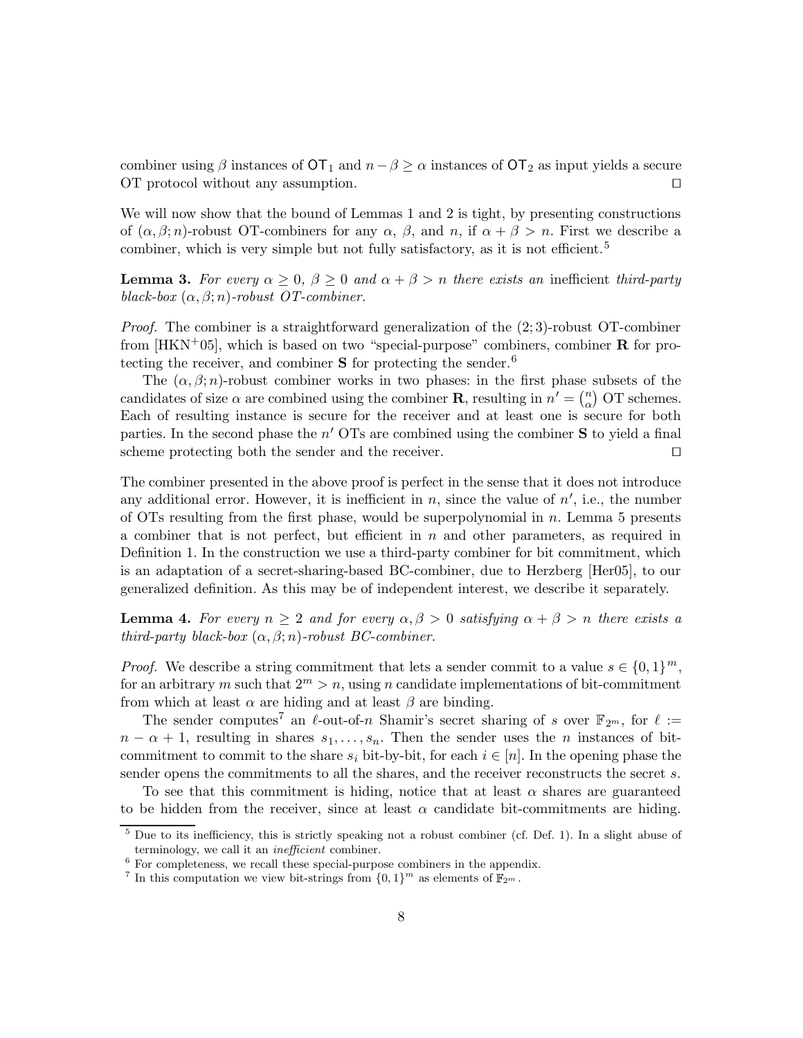combiner using  $\beta$  instances of  $\overline{OT}_1$  and  $n-\beta \geq \alpha$  instances of  $\overline{OT}_2$  as input yields a secure OT protocol without any assumption.  $\square$ 

We will now show that the bound of Lemmas 1 and 2 is tight, by presenting constructions of  $(\alpha, \beta; n)$ -robust OT-combiners for any  $\alpha$ ,  $\beta$ , and n, if  $\alpha + \beta > n$ . First we describe a combiner, which is very simple but not fully satisfactory, as it is not efficient.<sup>5</sup>

**Lemma 3.** For every  $\alpha \geq 0$ ,  $\beta \geq 0$  and  $\alpha + \beta > n$  there exists an inefficient third-party black-box  $(\alpha, \beta; n)$ -robust OT-combiner.

*Proof.* The combiner is a straightforward generalization of the  $(2, 3)$ -robust OT-combiner from  $[\text{HKN}^+05]$ , which is based on two "special-purpose" combiners, combiner **R** for protecting the receiver, and combiner  $S$  for protecting the sender.<sup>6</sup>

The  $(\alpha, \beta; n)$ -robust combiner works in two phases: in the first phase subsets of the candidates of size  $\alpha$  are combined using the combiner **R**, resulting in  $n' = \binom{n}{\alpha}$  $\binom{n}{\alpha}$  OT schemes. Each of resulting instance is secure for the receiver and at least one is secure for both parties. In the second phase the  $n'$  OTs are combined using the combiner **S** to yield a final scheme protecting both the sender and the receiver.  $\Box$ 

The combiner presented in the above proof is perfect in the sense that it does not introduce any additional error. However, it is inefficient in  $n$ , since the value of  $n'$ , i.e., the number of OTs resulting from the first phase, would be superpolynomial in  $n$ . Lemma 5 presents a combiner that is not perfect, but efficient in  $n$  and other parameters, as required in Definition 1. In the construction we use a third-party combiner for bit commitment, which is an adaptation of a secret-sharing-based BC-combiner, due to Herzberg [Her05], to our generalized definition. As this may be of independent interest, we describe it separately.

**Lemma 4.** For every  $n \geq 2$  and for every  $\alpha, \beta > 0$  satisfying  $\alpha + \beta > n$  there exists a third-party black-box  $(\alpha, \beta; n)$ -robust BC-combiner.

*Proof.* We describe a string commitment that lets a sender commit to a value  $s \in \{0,1\}^m$ , for an arbitrary m such that  $2^m > n$ , using n candidate implementations of bit-commitment from which at least  $\alpha$  are hiding and at least  $\beta$  are binding.

The sender computes<sup>7</sup> an  $\ell$ -out-of-n Shamir's secret sharing of s over  $\mathbb{F}_{2^m}$ , for  $\ell :=$  $n - \alpha + 1$ , resulting in shares  $s_1, \ldots, s_n$ . Then the sender uses the *n* instances of bitcommitment to commit to the share  $s_i$  bit-by-bit, for each  $i \in [n]$ . In the opening phase the sender opens the commitments to all the shares, and the receiver reconstructs the secret s.

To see that this commitment is hiding, notice that at least  $\alpha$  shares are guaranteed to be hidden from the receiver, since at least  $\alpha$  candidate bit-commitments are hiding.

<sup>&</sup>lt;sup>5</sup> Due to its inefficiency, this is strictly speaking not a robust combiner (cf. Def. 1). In a slight abuse of terminology, we call it an inefficient combiner.

<sup>&</sup>lt;sup>6</sup> For completeness, we recall these special-purpose combiners in the appendix.

<sup>&</sup>lt;sup>7</sup> In this computation we view bit-strings from  $\{0,1\}^m$  as elements of  $\mathbb{F}_{2^m}$ .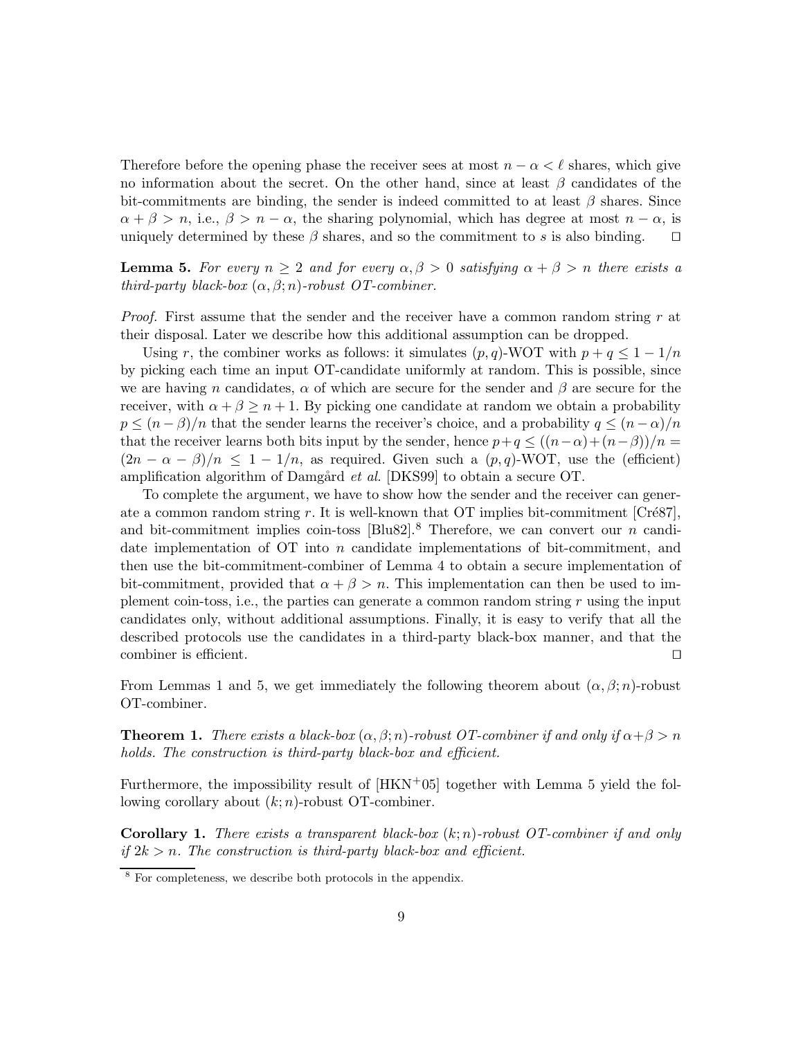Therefore before the opening phase the receiver sees at most  $n - \alpha < \ell$  shares, which give no information about the secret. On the other hand, since at least  $\beta$  candidates of the bit-commitments are binding, the sender is indeed committed to at least  $\beta$  shares. Since  $\alpha + \beta > n$ , i.e.,  $\beta > n - \alpha$ , the sharing polynomial, which has degree at most  $n - \alpha$ , is uniquely determined by these  $\beta$  shares, and so the commitment to s is also binding.  $\Box$ 

**Lemma 5.** For every  $n \geq 2$  and for every  $\alpha, \beta > 0$  satisfying  $\alpha + \beta > n$  there exists a third-party black-box  $(\alpha, \beta; n)$ -robust OT-combiner.

*Proof.* First assume that the sender and the receiver have a common random string  $r$  at their disposal. Later we describe how this additional assumption can be dropped.

Using r, the combiner works as follows: it simulates  $(p, q)$ -WOT with  $p + q \leq 1 - 1/n$ by picking each time an input OT-candidate uniformly at random. This is possible, since we are having n candidates,  $\alpha$  of which are secure for the sender and  $\beta$  are secure for the receiver, with  $\alpha + \beta \geq n + 1$ . By picking one candidate at random we obtain a probability  $p \leq (n - \beta)/n$  that the sender learns the receiver's choice, and a probability  $q \leq (n - \alpha)/n$ that the receiver learns both bits input by the sender, hence  $p+q \leq ((n-\alpha)+(n-\beta))/n =$  $(2n - \alpha - \beta)/n \leq 1 - 1/n$ , as required. Given such a  $(p, q)$ -WOT, use the (efficient) amplification algorithm of Damgård et al. [DKS99] to obtain a secure OT.

To complete the argument, we have to show how the sender and the receiver can generate a common random string  $r$ . It is well-known that OT implies bit-commitment [Cré87], and bit-commitment implies coin-toss [Blu82].<sup>8</sup> Therefore, we can convert our n candidate implementation of OT into *n* candidate implementations of bit-commitment, and then use the bit-commitment-combiner of Lemma 4 to obtain a secure implementation of bit-commitment, provided that  $\alpha + \beta > n$ . This implementation can then be used to implement coin-toss, i.e., the parties can generate a common random string  $r$  using the input candidates only, without additional assumptions. Finally, it is easy to verify that all the described protocols use the candidates in a third-party black-box manner, and that the combiner is efficient.  $\Box$ 

From Lemmas 1 and 5, we get immediately the following theorem about  $(\alpha, \beta; n)$ -robust OT-combiner.

**Theorem 1.** There exists a black-box  $(\alpha, \beta; n)$ -robust OT-combiner if and only if  $\alpha + \beta > n$ holds. The construction is third-party black-box and efficient.

Furthermore, the impossibility result of  $[HKN+05]$  together with Lemma 5 yield the following corollary about  $(k; n)$ -robust OT-combiner.

**Corollary 1.** There exists a transparent black-box  $(k; n)$ -robust OT-combiner if and only if  $2k > n$ . The construction is third-party black-box and efficient.

<sup>&</sup>lt;sup>8</sup> For completeness, we describe both protocols in the appendix.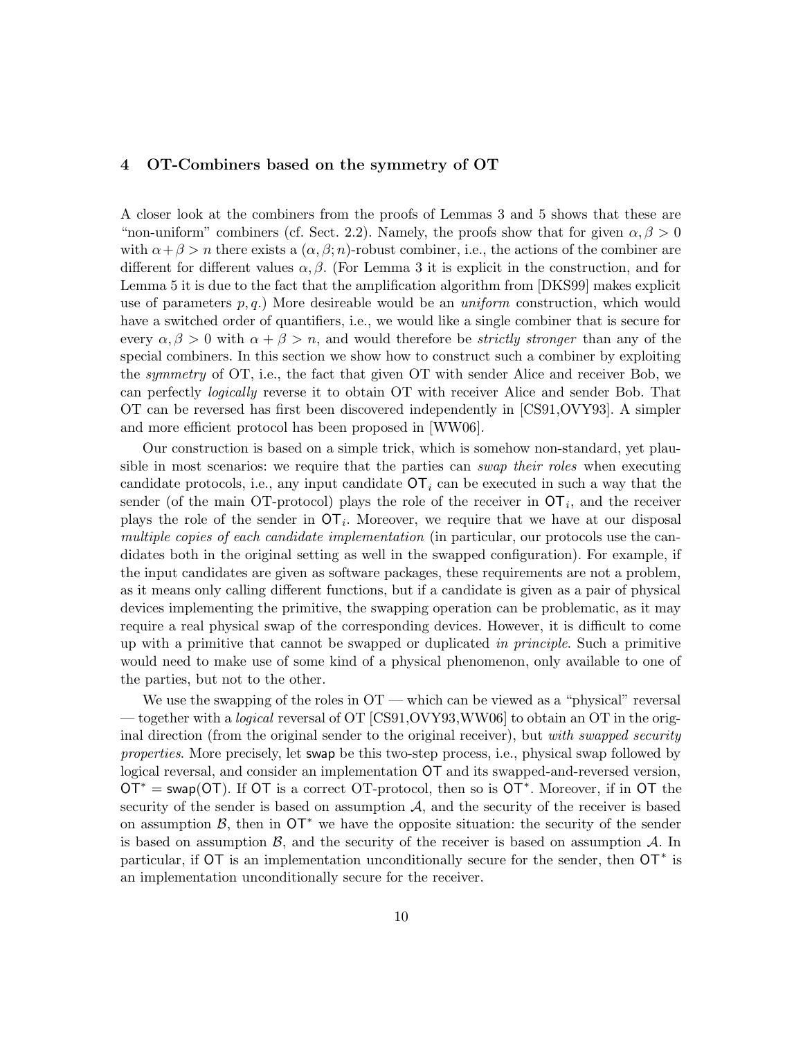# 4 OT-Combiners based on the symmetry of OT

A closer look at the combiners from the proofs of Lemmas 3 and 5 shows that these are "non-uniform" combiners (cf. Sect. 2.2). Namely, the proofs show that for given  $\alpha, \beta > 0$ with  $\alpha + \beta > n$  there exists a  $(\alpha, \beta; n)$ -robust combiner, i.e., the actions of the combiner are different for different values  $\alpha, \beta$ . (For Lemma 3 it is explicit in the construction, and for Lemma 5 it is due to the fact that the amplification algorithm from [DKS99] makes explicit use of parameters  $p, q$ .) More desireable would be an *uniform* construction, which would have a switched order of quantifiers, i.e., we would like a single combiner that is secure for every  $\alpha, \beta > 0$  with  $\alpha + \beta > n$ , and would therefore be *strictly stronger* than any of the special combiners. In this section we show how to construct such a combiner by exploiting the *symmetry* of OT, i.e., the fact that given OT with sender Alice and receiver Bob, we can perfectly logically reverse it to obtain OT with receiver Alice and sender Bob. That OT can be reversed has first been discovered independently in [CS91,OVY93]. A simpler and more efficient protocol has been proposed in [WW06].

Our construction is based on a simple trick, which is somehow non-standard, yet plausible in most scenarios: we require that the parties can *swap their roles* when executing candidate protocols, i.e., any input candidate  $\sigma T_i$  can be executed in such a way that the sender (of the main OT-protocol) plays the role of the receiver in  $\sigma T_i$ , and the receiver plays the role of the sender in  $\sigma T_i$ . Moreover, we require that we have at our disposal multiple copies of each candidate implementation (in particular, our protocols use the candidates both in the original setting as well in the swapped configuration). For example, if the input candidates are given as software packages, these requirements are not a problem, as it means only calling different functions, but if a candidate is given as a pair of physical devices implementing the primitive, the swapping operation can be problematic, as it may require a real physical swap of the corresponding devices. However, it is difficult to come up with a primitive that cannot be swapped or duplicated in *principle*. Such a primitive would need to make use of some kind of a physical phenomenon, only available to one of the parties, but not to the other.

We use the swapping of the roles in  $OT$  — which can be viewed as a "physical" reversal — together with a *logical* reversal of OT [CS91,OVY93,WW06] to obtain an OT in the original direction (from the original sender to the original receiver), but with swapped security properties. More precisely, let swap be this two-step process, i.e., physical swap followed by logical reversal, and consider an implementation OT and its swapped-and-reversed version,  $\overrightarrow{OT}^* = \textsf{swap}(\overrightarrow{OT})$ . If OT is a correct OT-protocol, then so is  $\overrightarrow{OT}^*$ . Moreover, if in OT the security of the sender is based on assumption  $A$ , and the security of the receiver is based on assumption  $\beta$ , then in  $\overline{OT}^*$  we have the opposite situation: the security of the sender is based on assumption  $\beta$ , and the security of the receiver is based on assumption  $\mathcal{A}$ . In particular, if OT is an implementation unconditionally secure for the sender, then OT<sup>∗</sup> is an implementation unconditionally secure for the receiver.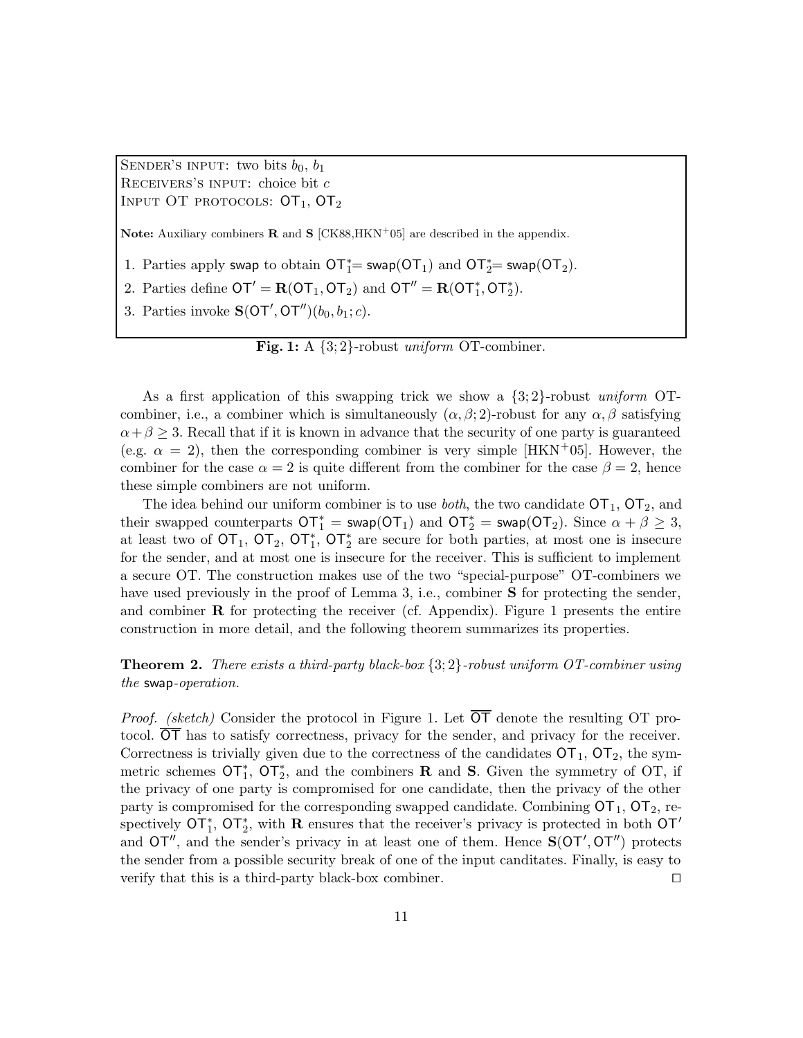SENDER'S INPUT: two bits  $b_0$ ,  $b_1$ RECEIVERS'S INPUT: choice bit  $c$ INPUT OT PROTOCOLS:  $OT<sub>1</sub>$ ,  $OT<sub>2</sub>$ 

**Note:** Auxiliary combiners **R** and **S** [CK88, HKN<sup>+</sup>05] are described in the appendix.

- 1. Parties apply swap to obtain  $\mathsf{OT}_1^* = \mathsf{swap}(\mathsf{OT}_1)$  and  $\mathsf{OT}_2^* = \mathsf{swap}(\mathsf{OT}_2)$ .
- 2. Parties define  $\mathsf{OT}' = \mathbf{R}(\mathsf{OT}_1, \mathsf{OT}_2)$  and  $\mathsf{OT}'' = \mathbf{R}(\mathsf{OT}_1^*, \mathsf{OT}_2^*).$
- 3. Parties invoke  $S(OT', OT'')$  $(b_0, b_1; c)$ .

Fig. 1: A  $\{3;2\}$ -robust *uniform* OT-combiner.

As a first application of this swapping trick we show a  $\{3; 2\}$ -robust uniform OTcombiner, i.e., a combiner which is simultaneously  $(\alpha, \beta, 2)$ -robust for any  $\alpha, \beta$  satisfying  $\alpha + \beta \geq 3$ . Recall that if it is known in advance that the security of one party is guaranteed (e.g.  $\alpha = 2$ ), then the corresponding combiner is very simple [HKN+05]. However, the combiner for the case  $\alpha = 2$  is quite different from the combiner for the case  $\beta = 2$ , hence these simple combiners are not uniform.

The idea behind our uniform combiner is to use *both*, the two candidate  $\overline{OT}_1$ ,  $\overline{OT}_2$ , and their swapped counterparts  $OT_1^* = swap(OT_1)$  and  $OT_2^* = swap(OT_2)$ . Since  $\alpha + \beta \geq 3$ , at least two of  $\overline{OT_1}$ ,  $\overline{OT_2}$ ,  $\overline{OT_1^*}$ ,  $\overline{OT_2^*}$  are secure for both parties, at most one is insecure for the sender, and at most one is insecure for the receiver. This is sufficient to implement a secure OT. The construction makes use of the two "special-purpose" OT-combiners we have used previously in the proof of Lemma 3, i.e., combiner **S** for protecting the sender, and combiner  $\bf R$  for protecting the receiver (cf. Appendix). Figure 1 presents the entire construction in more detail, and the following theorem summarizes its properties.

**Theorem 2.** There exists a third-party black-box  $\{3; 2\}$ -robust uniform OT-combiner using the swap-operation.

*Proof.* (sketch) Consider the protocol in Figure 1. Let  $\overline{OT}$  denote the resulting OT protocol.  $\overline{OT}$  has to satisfy correctness, privacy for the sender, and privacy for the receiver. Correctness is trivially given due to the correctness of the candidates  $\text{OT}_1$ ,  $\text{OT}_2$ , the symmetric schemes  $\overline{OT_1}^*$ ,  $\overline{OT_2}^*$ , and the combiners **R** and **S**. Given the symmetry of OT, if the privacy of one party is compromised for one candidate, then the privacy of the other party is compromised for the corresponding swapped candidate. Combining  $\overline{OT}_1$ ,  $\overline{OT}_2$ , respectively  $\overrightarrow{OT_1}$ ,  $\overrightarrow{OT_2}$ , with **R** ensures that the receiver's privacy is protected in both  $\overrightarrow{OT'}$ and  $\overrightarrow{OT''}$ , and the sender's privacy in at least one of them. Hence  $S(\overrightarrow{OT'}, \overrightarrow{OT''})$  protects the sender from a possible security break of one of the input canditates. Finally, is easy to verify that this is a third-party black-box combiner.  $\Box$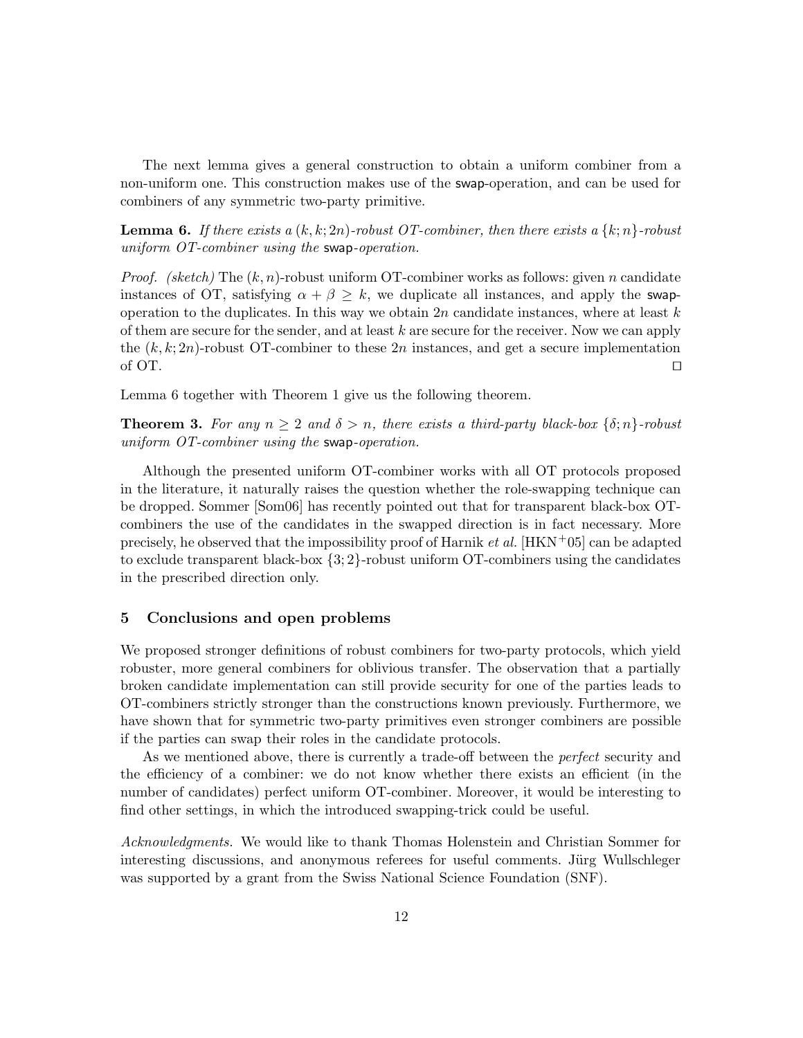The next lemma gives a general construction to obtain a uniform combiner from a non-uniform one. This construction makes use of the swap-operation, and can be used for combiners of any symmetric two-party primitive.

**Lemma 6.** If there exists a  $(k, k; 2n)$ -robust OT-combiner, then there exists a  $\{k; n\}$ -robust uniform OT-combiner using the swap-operation.

*Proof.* (sketch) The  $(k, n)$ -robust uniform OT-combiner works as follows: given n candidate instances of OT, satisfying  $\alpha + \beta \geq k$ , we duplicate all instances, and apply the swapoperation to the duplicates. In this way we obtain  $2n$  candidate instances, where at least k of them are secure for the sender, and at least  $k$  are secure for the receiver. Now we can apply the  $(k, k; 2n)$ -robust OT-combiner to these  $2n$  instances, and get a secure implementation of OT.

Lemma 6 together with Theorem 1 give us the following theorem.

**Theorem 3.** For any  $n \geq 2$  and  $\delta > n$ , there exists a third-party black-box  $\{\delta; n\}$ -robust uniform OT-combiner using the swap-operation.

Although the presented uniform OT-combiner works with all OT protocols proposed in the literature, it naturally raises the question whether the role-swapping technique can be dropped. Sommer [Som06] has recently pointed out that for transparent black-box OTcombiners the use of the candidates in the swapped direction is in fact necessary. More precisely, he observed that the impossibility proof of Harnik *et al.* [HKN<sup>+</sup>05] can be adapted to exclude transparent black-box {3; 2}-robust uniform OT-combiners using the candidates in the prescribed direction only.

### 5 Conclusions and open problems

We proposed stronger definitions of robust combiners for two-party protocols, which yield robuster, more general combiners for oblivious transfer. The observation that a partially broken candidate implementation can still provide security for one of the parties leads to OT-combiners strictly stronger than the constructions known previously. Furthermore, we have shown that for symmetric two-party primitives even stronger combiners are possible if the parties can swap their roles in the candidate protocols.

As we mentioned above, there is currently a trade-off between the *perfect* security and the efficiency of a combiner: we do not know whether there exists an efficient (in the number of candidates) perfect uniform OT-combiner. Moreover, it would be interesting to find other settings, in which the introduced swapping-trick could be useful.

Acknowledgments. We would like to thank Thomas Holenstein and Christian Sommer for interesting discussions, and anonymous referees for useful comments. Jurg Wullschleger was supported by a grant from the Swiss National Science Foundation (SNF).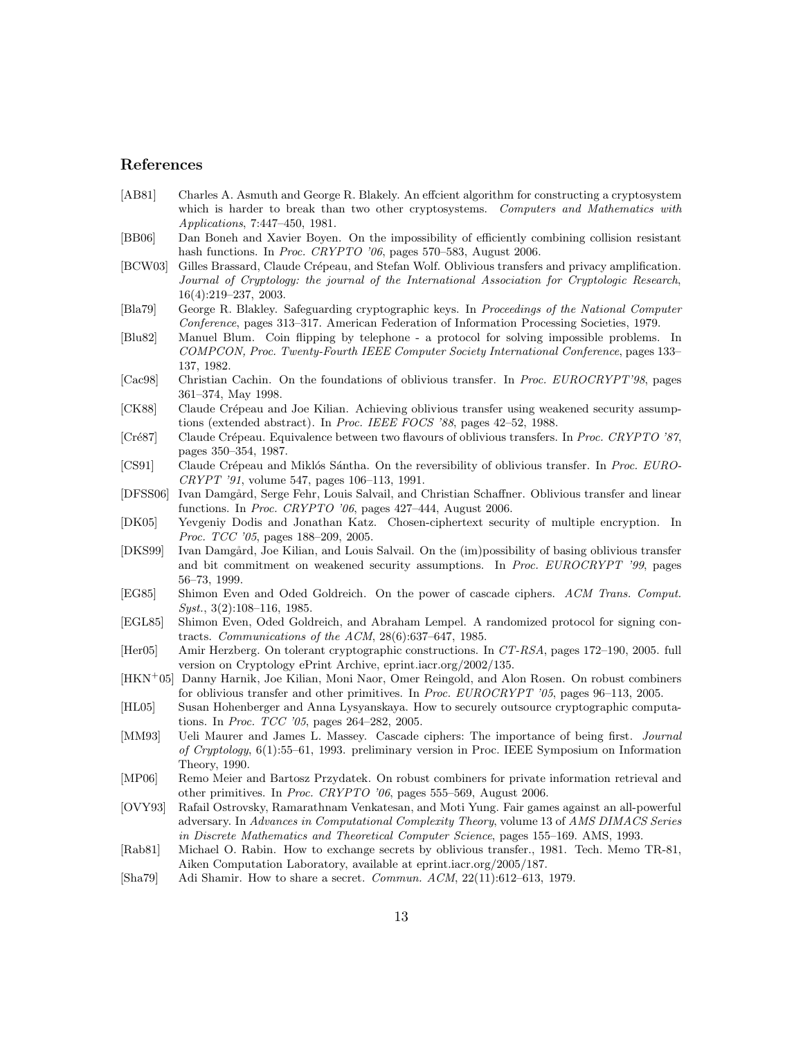### References

- [AB81] Charles A. Asmuth and George R. Blakely. An effcient algorithm for constructing a cryptosystem which is harder to break than two other cryptosystems. Computers and Mathematics with Applications, 7:447–450, 1981.
- [BB06] Dan Boneh and Xavier Boyen. On the impossibility of efficiently combining collision resistant hash functions. In *Proc. CRYPTO '06*, pages 570–583, August 2006.
- [BCW03] Gilles Brassard, Claude Crépeau, and Stefan Wolf. Oblivious transfers and privacy amplification. Journal of Cryptology: the journal of the International Association for Cryptologic Research, 16(4):219–237, 2003.
- [Bla79] George R. Blakley. Safeguarding cryptographic keys. In Proceedings of the National Computer Conference, pages 313–317. American Federation of Information Processing Societies, 1979.
- [Blu82] Manuel Blum. Coin flipping by telephone a protocol for solving impossible problems. In COMPCON, Proc. Twenty-Fourth IEEE Computer Society International Conference, pages 133– 137, 1982.
- [Cac98] Christian Cachin. On the foundations of oblivious transfer. In Proc. EUROCRYPT'98, pages 361–374, May 1998.
- [CK88] Claude Crépeau and Joe Kilian. Achieving oblivious transfer using weakened security assumptions (extended abstract). In Proc. IEEE FOCS '88, pages 42-52, 1988.
- [Cré87] Claude Crépeau. Equivalence between two flavours of oblivious transfers. In Proc. CRYPTO '87, pages 350–354, 1987.
- [CS91] Claude Crépeau and Miklós Sántha. On the reversibility of oblivious transfer. In Proc. EURO-CRYPT '91, volume 547, pages 106–113, 1991.
- [DFSS06] Ivan Damgård, Serge Fehr, Louis Salvail, and Christian Schaffner. Oblivious transfer and linear functions. In Proc. CRYPTO '06, pages 427–444, August 2006.
- [DK05] Yevgeniy Dodis and Jonathan Katz. Chosen-ciphertext security of multiple encryption. In Proc. TCC '05, pages 188–209, 2005.
- [DKS99] Ivan Damgård, Joe Kilian, and Louis Salvail. On the (im)possibility of basing oblivious transfer and bit commitment on weakened security assumptions. In Proc. EUROCRYPT '99, pages 56–73, 1999.
- [EG85] Shimon Even and Oded Goldreich. On the power of cascade ciphers. ACM Trans. Comput. Syst., 3(2):108-116, 1985.
- [EGL85] Shimon Even, Oded Goldreich, and Abraham Lempel. A randomized protocol for signing contracts. Communications of the ACM, 28(6):637–647, 1985.
- [Her05] Amir Herzberg. On tolerant cryptographic constructions. In CT-RSA, pages 172–190, 2005. full version on Cryptology ePrint Archive, eprint.iacr.org/2002/135.
- [HKN<sup>+</sup>05] Danny Harnik, Joe Kilian, Moni Naor, Omer Reingold, and Alon Rosen. On robust combiners for oblivious transfer and other primitives. In Proc. EUROCRYPT '05, pages 96–113, 2005.
- [HL05] Susan Hohenberger and Anna Lysyanskaya. How to securely outsource cryptographic computations. In Proc. TCC '05, pages 264–282, 2005.
- [MM93] Ueli Maurer and James L. Massey. Cascade ciphers: The importance of being first. Journal of Cryptology, 6(1):55–61, 1993. preliminary version in Proc. IEEE Symposium on Information Theory, 1990.
- [MP06] Remo Meier and Bartosz Przydatek. On robust combiners for private information retrieval and other primitives. In Proc. CRYPTO '06, pages 555–569, August 2006.
- [OVY93] Rafail Ostrovsky, Ramarathnam Venkatesan, and Moti Yung. Fair games against an all-powerful adversary. In Advances in Computational Complexity Theory, volume 13 of AMS DIMACS Series in Discrete Mathematics and Theoretical Computer Science, pages 155–169. AMS, 1993.
- [Rab81] Michael O. Rabin. How to exchange secrets by oblivious transfer., 1981. Tech. Memo TR-81, Aiken Computation Laboratory, available at eprint.iacr.org/2005/187.
- [Sha79] Adi Shamir. How to share a secret. Commun. ACM, 22(11):612–613, 1979.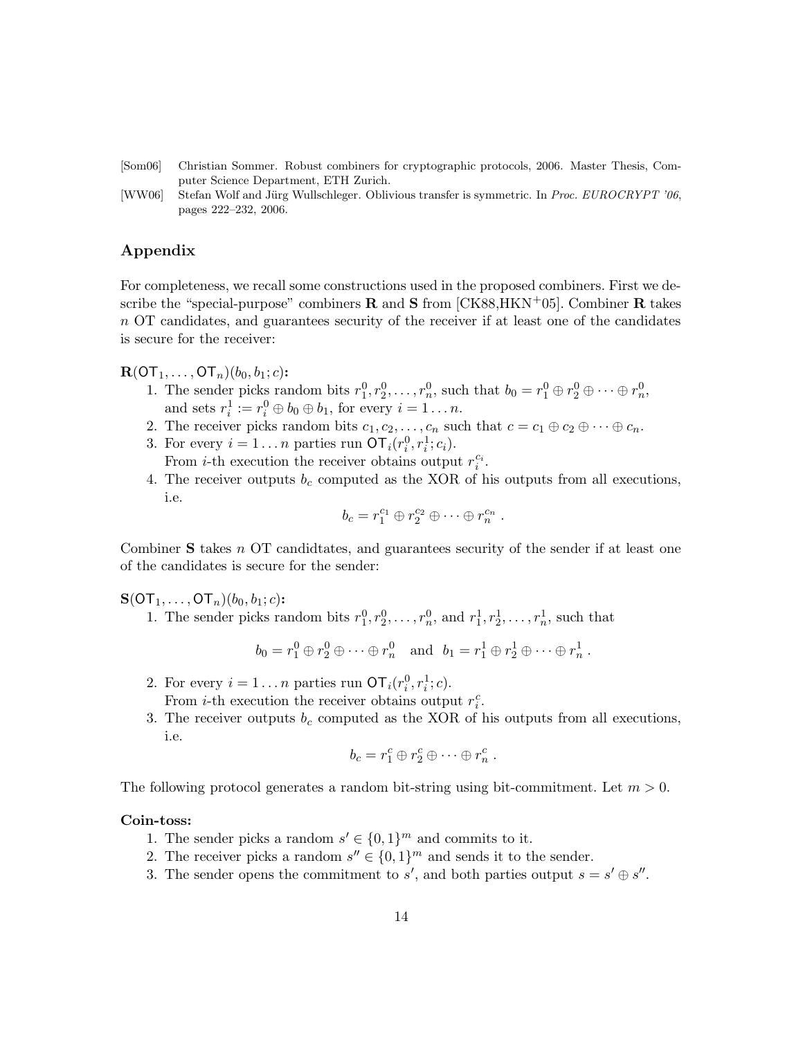[Som06] Christian Sommer. Robust combiners for cryptographic protocols, 2006. Master Thesis, Computer Science Department, ETH Zurich.

[WW06] Stefan Wolf and Jürg Wullschleger. Oblivious transfer is symmetric. In Proc. EUROCRYPT '06, pages 222–232, 2006.

# Appendix

For completeness, we recall some constructions used in the proposed combiners. First we describe the "special-purpose" combiners **R** and **S** from [CK88,HKN<sup>+</sup>05]. Combiner **R** takes n OT candidates, and guarantees security of the receiver if at least one of the candidates is secure for the receiver:

 $\mathbf{R}(\text{OT}_1, \ldots, \text{OT}_n)(b_0, b_1; c)$ :

- 1. The sender picks random bits  $r_1^0, r_2^0, \ldots, r_n^0$ , such that  $b_0 = r_1^0 \oplus r_2^0 \oplus \cdots \oplus r_n^0$ , and sets  $r_i^1 := r_i^0 \oplus b_0 \oplus b_1$ , for every  $i = 1...n$ .
- 2. The receiver picks random bits  $c_1, c_2, \ldots, c_n$  such that  $c = c_1 \oplus c_2 \oplus \cdots \oplus c_n$ .
- 3. For every  $i = 1 \dots n$  parties run  $\mathsf{OT}_i(r_i^0, r_i^1; c_i)$ . From *i*-th execution the receiver obtains output  $r_i^{c_i}$  $\tfrac{c_i}{i}$  .
- 4. The receiver outputs  $b_c$  computed as the XOR of his outputs from all executions, i.e.

$$
b_c = r_1^{c_1} \oplus r_2^{c_2} \oplus \cdots \oplus r_n^{c_n} .
$$

Combiner S takes n OT candidates, and guarantees security of the sender if at least one of the candidates is secure for the sender:

 $S(OT_1, \ldots, OT_n)(b_0, b_1; c)$ :

1. The sender picks random bits  $r_1^0, r_2^0, \ldots, r_n^0$ , and  $r_1^1, r_2^1, \ldots, r_n^1$ , such that

$$
b_0 = r_1^0 \oplus r_2^0 \oplus \cdots \oplus r_n^0
$$
 and  $b_1 = r_1^1 \oplus r_2^1 \oplus \cdots \oplus r_n^1$ .

- 2. For every  $i = 1 \dots n$  parties run  $\mathsf{OT}_i(r_i^0, r_i^1; c)$ . From *i*-th execution the receiver obtains output  $r_i^c$ .
- 3. The receiver outputs  $b_c$  computed as the XOR of his outputs from all executions, i.e.

$$
b_c = r_1^c \oplus r_2^c \oplus \cdots \oplus r_n^c.
$$

The following protocol generates a random bit-string using bit-commitment. Let  $m > 0$ .

#### Coin-toss:

- 1. The sender picks a random  $s' \in \{0,1\}^m$  and commits to it.
- 2. The receiver picks a random  $s'' \in \{0,1\}^m$  and sends it to the sender.
- 3. The sender opens the commitment to s', and both parties output  $s = s' \oplus s''$ .